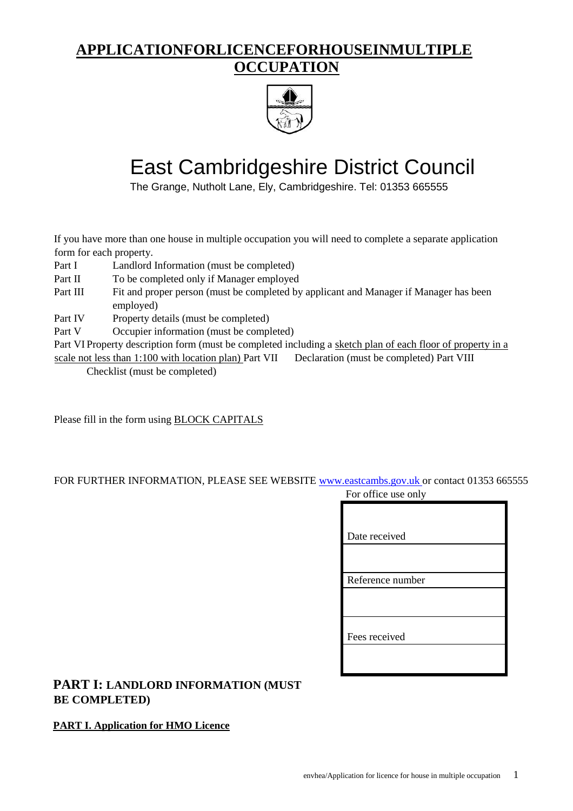## **APPLICATIONFORLICENCEFORHOUSEINMULTIPLE OCCUPATION**



# East Cambridgeshire District Council

The Grange, Nutholt Lane, Ely, Cambridgeshire. Tel: 01353 665555

If you have more than one house in multiple occupation you will need to complete a separate application form for each property.

- Part I Landlord Information (must be completed)
- Part II To be completed only if Manager employed
- Part III Fit and proper person (must be completed by applicant and Manager if Manager has been employed)
- Part IV Property details (must be completed)
- Part V Occupier information (must be completed)

Part VI Property description form (must be completed including a sketch plan of each floor of property in a scale not less than 1:100 with location plan) Part VII Declaration (must be completed) Part VIII

Checklist (must be completed)

Please fill in the form using BLOCK CAPITALS

# FOR FURTHER INFORMATION, PLEASE SEE WEBSITE www.eastcambs.gov.uk or contact 01353 665555

| For office use only |
|---------------------|
|                     |
|                     |
| Date received       |
|                     |
|                     |
| Reference number    |
|                     |
|                     |
|                     |
| Fees received       |
|                     |
|                     |
|                     |

#### **PART I: LANDLORD INFORMATION (MUST BE COMPLETED)**

#### **PART I. Application for HMO Licence**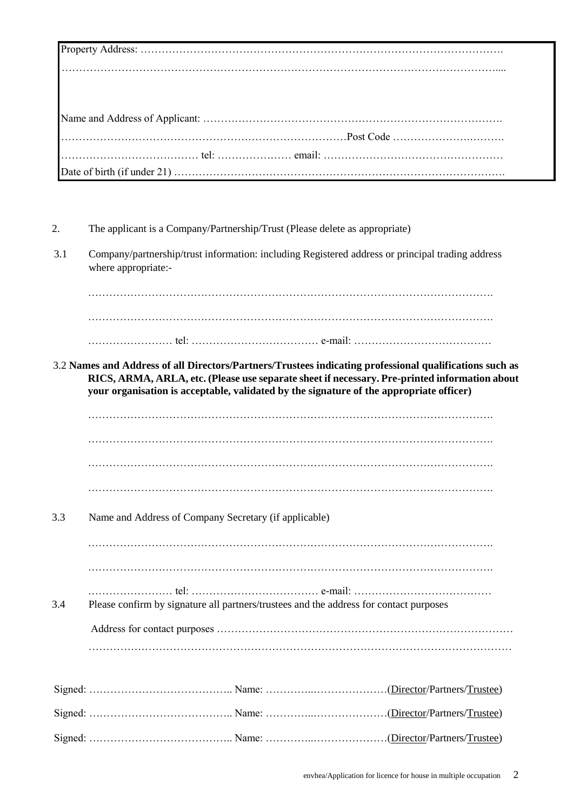- 2. The applicant is a Company/Partnership/Trust (Please delete as appropriate)
- 3.1 Company/partnership/trust information: including Registered address or principal trading address where appropriate:-

……………………………………………………………………………………………………. ……………………………………………………………………………………………………. …………………… tel: ……………………………… e-mail: …………………………………

3.2 **Names and Address of all Directors/Partners/Trustees indicating professional qualifications such as RICS, ARMA, ARLA, etc. (Please use separate sheet if necessary. Pre-printed information about your organisation is acceptable, validated by the signature of the appropriate officer)**

……………………………………………………………………………………………………. ……………………………………………………………………………………………………. ……………………………………………………………………………………………………. …………………………………………………………………………………………………….

3.3 Name and Address of Company Secretary (if applicable)

……………………………………………………………………………………………………. ……………………………………………………………………………………………………. …………………… tel: ……………………………… e-mail: ………………………………… 3.4 Please confirm by signature all partners/trustees and the address for contact purposes Address for contact purposes …………………………………………………………………………

…………………………………………………………………………………………………………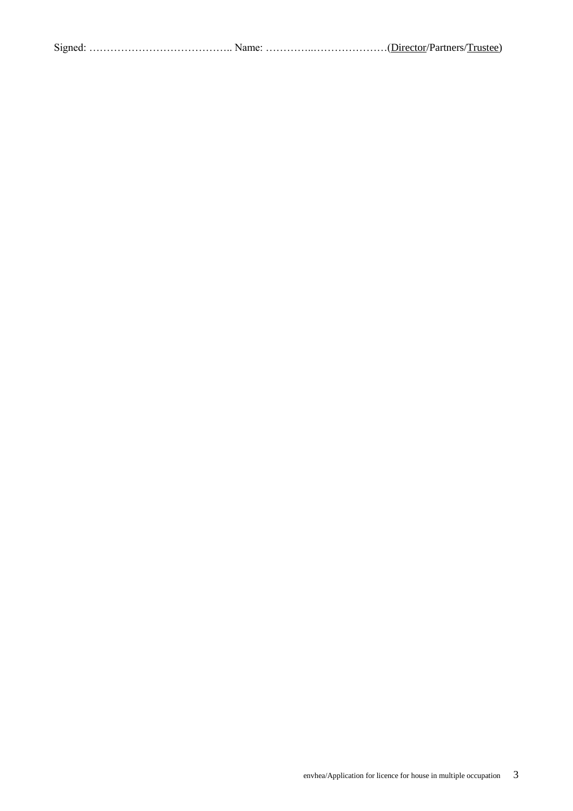|--|--|--|--|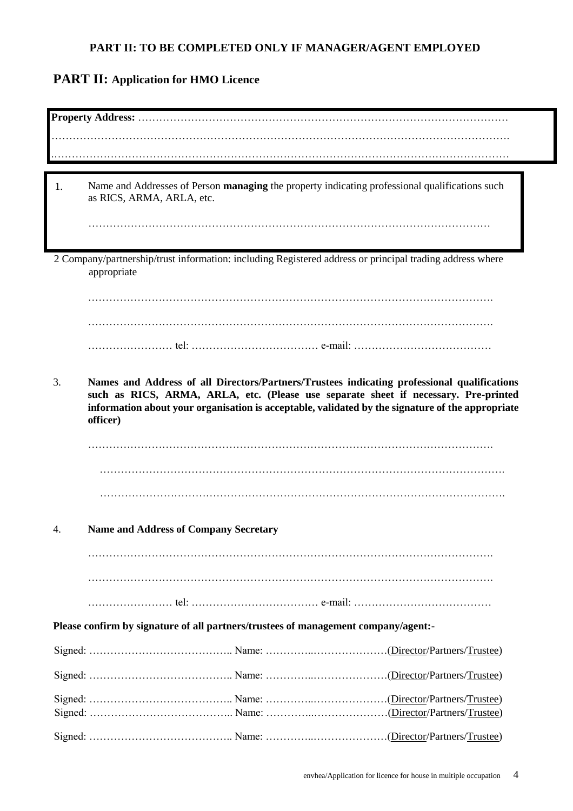#### **PART II: TO BE COMPLETED ONLY IF MANAGER/AGENT EMPLOYED**

# **PART II: Application for HMO Licence**

| 1. | Name and Addresses of Person managing the property indicating professional qualifications such<br>as RICS, ARMA, ARLA, etc.                                                                                                                                                                        |
|----|----------------------------------------------------------------------------------------------------------------------------------------------------------------------------------------------------------------------------------------------------------------------------------------------------|
|    |                                                                                                                                                                                                                                                                                                    |
|    | 2 Company/partnership/trust information: including Registered address or principal trading address where<br>appropriate                                                                                                                                                                            |
|    |                                                                                                                                                                                                                                                                                                    |
|    |                                                                                                                                                                                                                                                                                                    |
|    |                                                                                                                                                                                                                                                                                                    |
| 3. | Names and Address of all Directors/Partners/Trustees indicating professional qualifications<br>such as RICS, ARMA, ARLA, etc. (Please use separate sheet if necessary. Pre-printed<br>information about your organisation is acceptable, validated by the signature of the appropriate<br>officer) |
|    |                                                                                                                                                                                                                                                                                                    |
|    |                                                                                                                                                                                                                                                                                                    |
|    |                                                                                                                                                                                                                                                                                                    |
|    |                                                                                                                                                                                                                                                                                                    |
|    |                                                                                                                                                                                                                                                                                                    |
| 4. | <b>Name and Address of Company Secretary</b>                                                                                                                                                                                                                                                       |
|    |                                                                                                                                                                                                                                                                                                    |
|    |                                                                                                                                                                                                                                                                                                    |
|    |                                                                                                                                                                                                                                                                                                    |
|    |                                                                                                                                                                                                                                                                                                    |
|    |                                                                                                                                                                                                                                                                                                    |
|    | Please confirm by signature of all partners/trustees of management company/agent:-                                                                                                                                                                                                                 |
|    |                                                                                                                                                                                                                                                                                                    |
|    |                                                                                                                                                                                                                                                                                                    |
|    |                                                                                                                                                                                                                                                                                                    |
|    |                                                                                                                                                                                                                                                                                                    |
|    |                                                                                                                                                                                                                                                                                                    |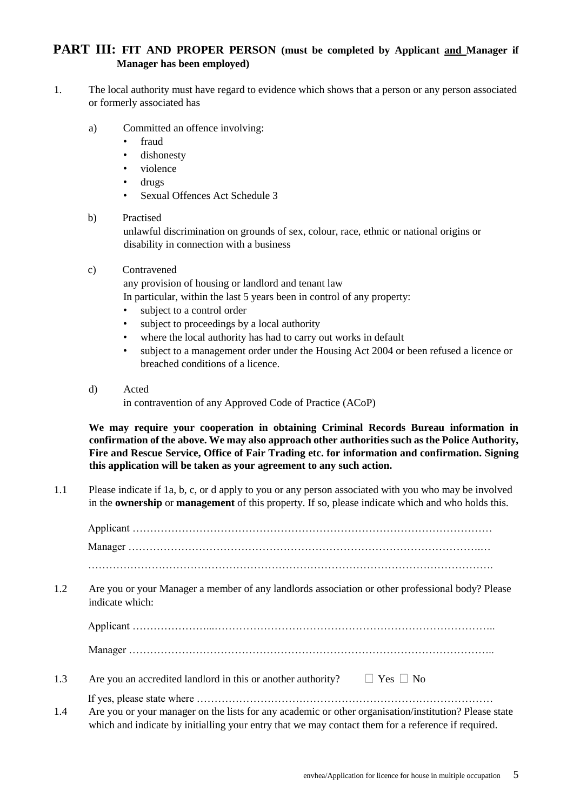#### **PART III: FIT AND PROPER PERSON (must be completed by Applicant and Manager if Manager has been employed)**

- 1. The local authority must have regard to evidence which shows that a person or any person associated or formerly associated has
	- a) Committed an offence involving:
		- fraud
		- dishonesty
		- violence
		- drugs
		- Sexual Offences Act Schedule 3

#### b) Practised

unlawful discrimination on grounds of sex, colour, race, ethnic or national origins or disability in connection with a business

c) Contravened

any provision of housing or landlord and tenant law

In particular, within the last 5 years been in control of any property:

- subject to a control order
- subject to proceedings by a local authority
- where the local authority has had to carry out works in default
- subject to a management order under the Housing Act 2004 or been refused a licence or breached conditions of a licence.
- d) Acted

in contravention of any Approved Code of Practice (ACoP)

**We may require your cooperation in obtaining Criminal Records Bureau information in confirmation of the above. We may also approach other authorities such as the Police Authority, Fire and Rescue Service, Office of Fair Trading etc. for information and confirmation. Signing this application will be taken as your agreement to any such action.**

1.1 Please indicate if 1a, b, c, or d apply to you or any person associated with you who may be involved in the **ownership** or **management** of this property. If so, please indicate which and who holds this.

Applicant ………………………………………………………………………………………… Manager ……………………………………………………………………………………….… ……………………………………………………………………………………………………. 1.2 Are you or your Manager a member of any landlords association or other professional body? Please indicate which: Applicant …………………...…………………………………………………………………….. Manager ………………………………………………………………………………………….. 1.3 Are you an accredited landlord in this or another authority?  $\Box$  Yes  $\Box$  No If yes, please state where ………………………………………………………………………… 1.4 Are you or your manager on the lists for any academic or other organisation/institution? Please state which and indicate by initialling your entry that we may contact them for a reference if required.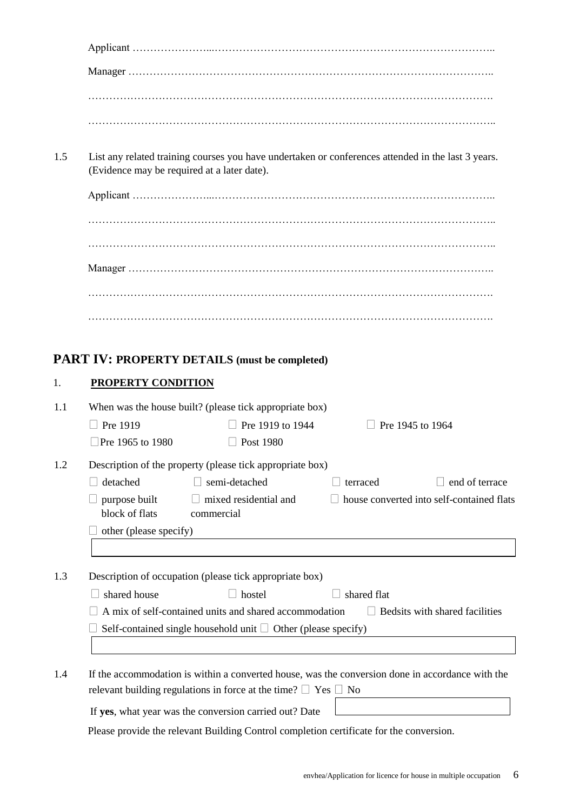1.5 List any related training courses you have undertaken or conferences attended in the last 3 years. (Evidence may be required at a later date).

# **PART IV: PROPERTY DETAILS (must be completed)**

#### 1. **PROPERTY CONDITION**

| 1.1 | When was the house built? (please tick appropriate box) |                                                                                                  |                  |                                           |
|-----|---------------------------------------------------------|--------------------------------------------------------------------------------------------------|------------------|-------------------------------------------|
|     | Pre 1919                                                | Pre 1919 to 1944                                                                                 | Pre 1945 to 1964 |                                           |
|     | Pre 1965 to 1980                                        | Post 1980                                                                                        |                  |                                           |
| 1.2 |                                                         | Description of the property (please tick appropriate box)                                        |                  |                                           |
|     | detached                                                | semi-detached                                                                                    | terraced         | end of terrace                            |
|     | purpose built                                           | $\Box$ mixed residential and                                                                     |                  | house converted into self-contained flats |
|     | block of flats                                          | commercial                                                                                       |                  |                                           |
|     | other (please specify)                                  |                                                                                                  |                  |                                           |
|     |                                                         |                                                                                                  |                  |                                           |
| 1.3 |                                                         | Description of occupation (please tick appropriate box)                                          |                  |                                           |
|     | shared house                                            | hostel                                                                                           | shared flat      |                                           |
|     |                                                         | A mix of self-contained units and shared accommodation                                           |                  | Bedsits with shared facilities            |
|     |                                                         | Self-contained single household unit $\Box$ Other (please specify)                               |                  |                                           |
|     |                                                         |                                                                                                  |                  |                                           |
|     |                                                         |                                                                                                  |                  |                                           |
| 1.4 |                                                         | If the accommodation is within a converted house, was the conversion done in accordance with the |                  |                                           |
|     |                                                         | relevant building regulations in force at the time? $\Box$ Yes $\Box$ No                         |                  |                                           |

If **yes**, what year was the conversion carried out? Date

Please provide the relevant Building Control completion certificate for the conversion.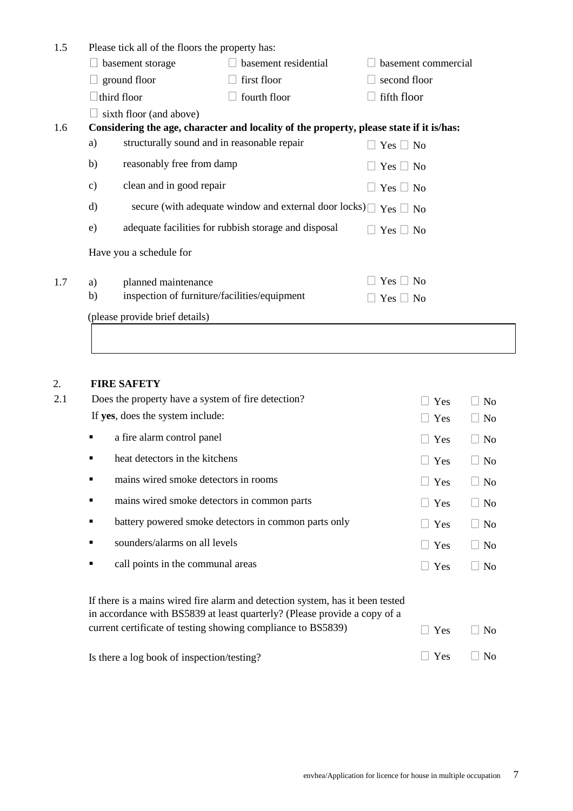| 1.5 |                                | Please tick all of the floors the property has: |                                                                                         |                     |
|-----|--------------------------------|-------------------------------------------------|-----------------------------------------------------------------------------------------|---------------------|
|     |                                | basement storage                                | basement residential                                                                    | basement commercial |
|     |                                | ground floor                                    | $\Box$ first floor                                                                      | second floor        |
|     |                                | third floor                                     | fourth floor                                                                            | fifth floor         |
|     |                                | sixth floor (and above)                         |                                                                                         |                     |
| 1.6 |                                |                                                 | Considering the age, character and locality of the property, please state if it is/has: |                     |
|     | a)                             | structurally sound and in reasonable repair     |                                                                                         | $Yes \Box No$       |
|     | b)                             | reasonably free from damp                       |                                                                                         | $Yes \Box No$       |
|     | $\mathbf{c})$                  | clean and in good repair                        |                                                                                         | $Yes \Box No$       |
|     | d)                             |                                                 | secure (with adequate window and external door locks)                                   | $Yes \Box No$       |
|     | e)                             |                                                 | adequate facilities for rubbish storage and disposal                                    | $Yes \Box No$       |
|     |                                | Have you a schedule for                         |                                                                                         |                     |
| 1.7 | a)                             | planned maintenance                             |                                                                                         | $Yes \Box No$       |
|     | b)                             | inspection of furniture/facilities/equipment    |                                                                                         | $Yes \Box No$       |
|     | (please provide brief details) |                                                 |                                                                                         |                     |
|     |                                |                                                 |                                                                                         |                     |

#### 2. **FIRE SAFETY**

| 2.1 | Does the property have a system of fire detection?                                                                                                         | Yes                 | N <sub>o</sub>                      |
|-----|------------------------------------------------------------------------------------------------------------------------------------------------------------|---------------------|-------------------------------------|
|     | If yes, does the system include:                                                                                                                           | $\Box$ Yes          | $\Box$ No                           |
|     | a fire alarm control panel<br>п                                                                                                                            | $\Box$ Yes          | N <sub>0</sub><br>$\perp$           |
|     | heat detectors in the kitchens<br>п                                                                                                                        | Yes<br>$\perp$      | <b>No</b><br>$\mathbf{I}$           |
|     | mains wired smoke detectors in rooms<br>п                                                                                                                  | Yes<br>$\perp$      | <b>No</b><br>$\mathbb{R}^n$         |
|     | mains wired smoke detectors in common parts<br>п                                                                                                           | Yes<br>$\perp$      | N <sub>o</sub><br>$\mathbf{I}$      |
|     | battery powered smoke detectors in common parts only<br>٠                                                                                                  | Yes                 | N <sub>o</sub><br>$\vert \ \ \vert$ |
|     | sounders/alarms on all levels                                                                                                                              | Yes<br>$\mathbf{L}$ | N <sub>0</sub><br>$\vert \ \ \vert$ |
|     | call points in the communal areas<br>٠                                                                                                                     | Yes                 | N <sub>0</sub><br>$\mathbb{R}^n$    |
|     | If there is a mains wired fire alarm and detection system, has it been tested<br>in accordance with BS5839 at least quarterly? (Please provide a copy of a |                     |                                     |
|     | current certificate of testing showing compliance to BS5839)                                                                                               | Yes<br>$\mathbf{L}$ | N <sub>0</sub><br>$\blacksquare$    |
|     | Is there a log book of inspection/testing?                                                                                                                 | Yes                 | N <sub>o</sub>                      |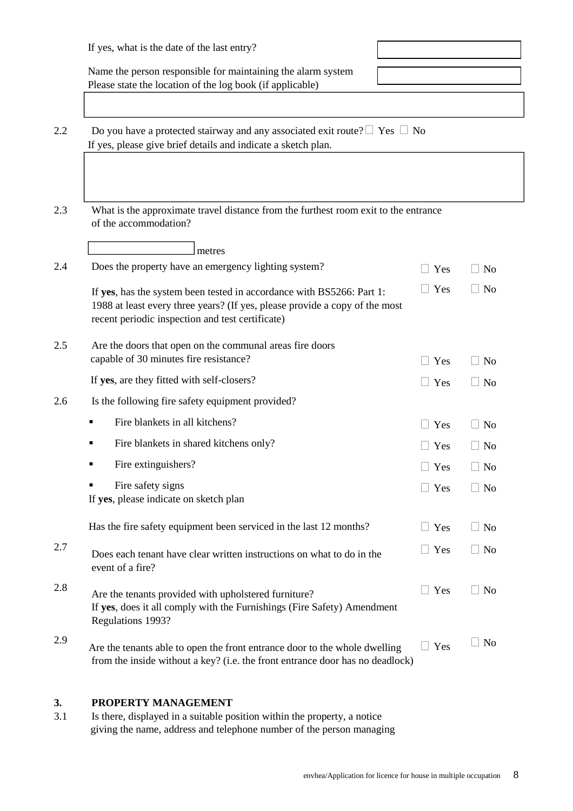| If yes, what is the date of the last entry?                                                                                                                                                              |                          |           |
|----------------------------------------------------------------------------------------------------------------------------------------------------------------------------------------------------------|--------------------------|-----------|
| Name the person responsible for maintaining the alarm system<br>Please state the location of the log book (if applicable)                                                                                |                          |           |
| Do you have a protected stairway and any associated exit route? $\Box$ Yes $\Box$ No                                                                                                                     |                          |           |
| If yes, please give brief details and indicate a sketch plan.                                                                                                                                            |                          |           |
| What is the approximate travel distance from the furthest room exit to the entrance<br>of the accommodation?                                                                                             |                          |           |
| metres                                                                                                                                                                                                   |                          |           |
| Does the property have an emergency lighting system?                                                                                                                                                     | $\Box$ Yes               | $\Box$ No |
| If yes, has the system been tested in accordance with BS5266: Part 1:<br>1988 at least every three years? (If yes, please provide a copy of the most<br>recent periodic inspection and test certificate) | Yes<br>$\vert \ \ \vert$ | $\Box$ No |
| Are the doors that open on the communal areas fire doors<br>capable of 30 minutes fire resistance?                                                                                                       | $\Box$ Yes               | $\Box$ No |
| If yes, are they fitted with self-closers?                                                                                                                                                               | $\Box$ Yes               | $\Box$ No |
| Is the following fire safety equipment provided?                                                                                                                                                         |                          |           |
| Fire blankets in all kitchens?<br>٠                                                                                                                                                                      | $\Box$ Yes               | $\Box$ No |
| Fire blankets in shared kitchens only?                                                                                                                                                                   | Yes                      | $\Box$ No |
| Fire extinguishers?                                                                                                                                                                                      | $\Box$ Yes               | $\Box$ No |
| Fire safety signs<br>If yes, please indicate on sketch plan                                                                                                                                              | $\Box$ Yes               | $\Box$ No |
| Has the fire safety equipment been serviced in the last 12 months?                                                                                                                                       | $\Box$ Yes               | $\Box$ No |
| Does each tenant have clear written instructions on what to do in the<br>event of a fire?                                                                                                                | $\Box$ Yes               | $\Box$ No |
| Are the tenants provided with upholstered furniture?<br>If yes, does it all comply with the Furnishings (Fire Safety) Amendment<br>Regulations 1993?                                                     | $\Box$ Yes               | $\Box$ No |
| Are the tenants able to open the front entrance door to the whole dwelling<br>from the inside without a key? (i.e. the front entrance door has no deadlock)                                              | $\Box$ Yes               | $\Box$ No |

#### **3. PROPERTY MANAGEMENT**

3.1 Is there, displayed in a suitable position within the property, a notice giving the name, address and telephone number of the person managing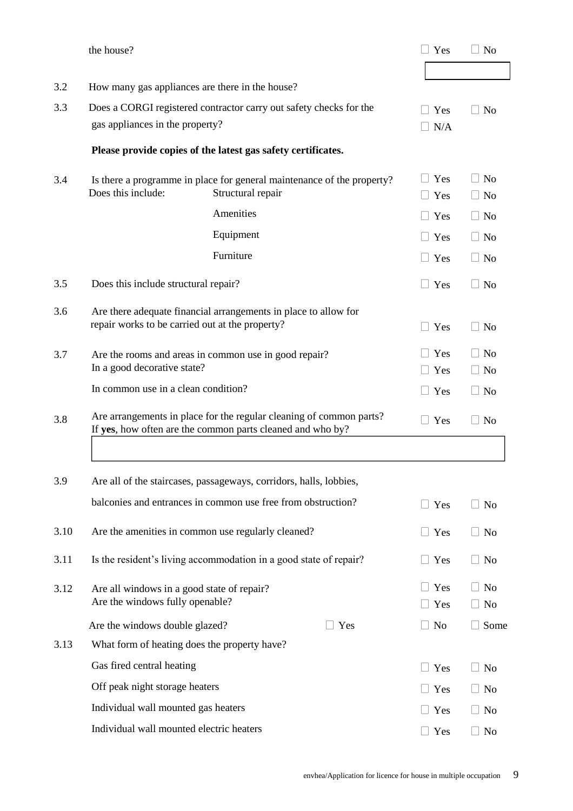|      | the house?                                                                    |                                                                                                                                   |               | Yes                      | N <sub>o</sub>                              |
|------|-------------------------------------------------------------------------------|-----------------------------------------------------------------------------------------------------------------------------------|---------------|--------------------------|---------------------------------------------|
|      |                                                                               |                                                                                                                                   |               |                          |                                             |
| 3.2  | How many gas appliances are there in the house?                               |                                                                                                                                   |               |                          |                                             |
| 3.3  | Does a CORGI registered contractor carry out safety checks for the            |                                                                                                                                   | $\Box$ Yes    | N <sub>o</sub><br>$\Box$ |                                             |
|      | gas appliances in the property?                                               |                                                                                                                                   |               | $\Box$ N/A               |                                             |
|      |                                                                               | Please provide copies of the latest gas safety certificates.                                                                      |               |                          |                                             |
| 3.4  | Does this include:                                                            | Is there a programme in place for general maintenance of the property?<br>Structural repair                                       |               | $\Box$ Yes<br>$\Box$ Yes | N <sub>0</sub><br>N <sub>o</sub>            |
|      |                                                                               | Amenities                                                                                                                         |               | $\Box$ Yes               | $\perp$<br>N <sub>o</sub>                   |
|      |                                                                               | Equipment                                                                                                                         |               | $\Box$ Yes               | $\Box$ No                                   |
|      |                                                                               | Furniture                                                                                                                         |               | $\Box$ Yes               | $\Box$ No                                   |
| 3.5  | Does this include structural repair?                                          |                                                                                                                                   |               | $\Box$ Yes               | <b>No</b><br>$\mathbb{R}$                   |
| 3.6  | repair works to be carried out at the property?                               | Are there adequate financial arrangements in place to allow for                                                                   |               | $\Box$ Yes               | $\Box$ No                                   |
| 3.7  | In a good decorative state?                                                   | Are the rooms and areas in common use in good repair?                                                                             |               | $\Box$ Yes<br>$\Box$ Yes | $\Box$<br>N <sub>o</sub><br>$\Box$ No       |
|      | In common use in a clean condition?                                           |                                                                                                                                   |               | $\Box$ Yes               | $\Box$ No                                   |
| 3.8  |                                                                               | Are arrangements in place for the regular cleaning of common parts?<br>If yes, how often are the common parts cleaned and who by? |               | $\Box$ Yes               | N <sub>o</sub><br>$\mathbb{R}$              |
|      |                                                                               |                                                                                                                                   |               |                          |                                             |
| 3.9  |                                                                               | Are all of the staircases, passageways, corridors, halls, lobbies,                                                                |               |                          |                                             |
|      |                                                                               | balconies and entrances in common use free from obstruction?                                                                      |               | $\Box$ Yes               | $\Box$ No                                   |
| 3.10 |                                                                               | Are the amenities in common use regularly cleaned?                                                                                |               | $\Box$ Yes               | $\Box$ No                                   |
| 3.11 |                                                                               | Is the resident's living accommodation in a good state of repair?                                                                 |               | $\Box$ Yes               | $\Box$ No                                   |
| 3.12 | Are all windows in a good state of repair?<br>Are the windows fully openable? |                                                                                                                                   |               | $\Box$ Yes<br>$\Box$ Yes | N <sub>o</sub><br>$\mathbf{L}$<br>$\Box$ No |
|      | Are the windows double glazed?                                                |                                                                                                                                   | $\exists$ Yes | $\Box$ No                | Some                                        |
| 3.13 | What form of heating does the property have?                                  |                                                                                                                                   |               |                          |                                             |
|      | Gas fired central heating                                                     |                                                                                                                                   |               | $\Box$ Yes               | $\Box$ No                                   |
|      | Off peak night storage heaters                                                |                                                                                                                                   |               | $\Box$ Yes               | $\Box$ No                                   |
|      | Individual wall mounted gas heaters                                           |                                                                                                                                   |               | $\Box$ Yes               | No                                          |
|      | Individual wall mounted electric heaters                                      |                                                                                                                                   |               | $\Box$ Yes               | $\Box$ No                                   |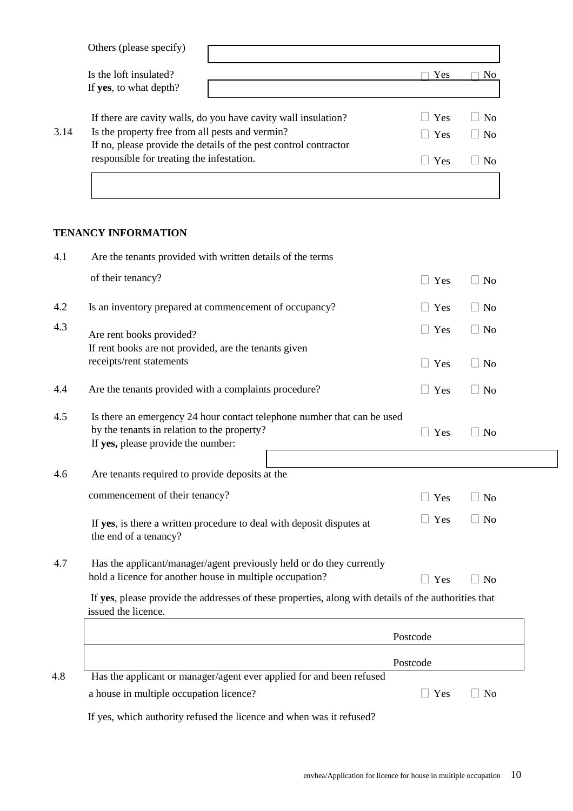|      | Others (please specify)                                                                                       |             |                    |
|------|---------------------------------------------------------------------------------------------------------------|-------------|--------------------|
|      | Is the loft insulated?                                                                                        | Yes         | N <sub>0</sub>     |
|      | If yes, to what depth?                                                                                        |             |                    |
|      | If there are cavity walls, do you have cavity wall insulation?                                                | <b>Yes</b>  | N <sub>0</sub>     |
| 3.14 | Is the property free from all pests and vermin?                                                               | $\vert$ Yes | N <sub>0</sub>     |
|      | If no, please provide the details of the pest control contractor<br>responsible for treating the infestation. | <b>Yes</b>  | $\overline{N}_{0}$ |
|      |                                                                                                               |             |                    |

#### **TENANCY INFORMATION**

| 4.1 | Are the tenants provided with written details of the terms                                                                                                   |            |                     |
|-----|--------------------------------------------------------------------------------------------------------------------------------------------------------------|------------|---------------------|
|     | of their tenancy?                                                                                                                                            | $\Box$ Yes | $\Box$ No           |
| 4.2 | Is an inventory prepared at commencement of occupancy?                                                                                                       | Yes        | $\Box$ No           |
| 4.3 | Are rent books provided?                                                                                                                                     | $\Box$ Yes | $\Box$ No           |
|     | If rent books are not provided, are the tenants given<br>receipts/rent statements                                                                            | $\Box$ Yes | $\Box$ No           |
| 4.4 | Are the tenants provided with a complaints procedure?                                                                                                        | Yes        | $\Box$ No           |
| 4.5 | Is there an emergency 24 hour contact telephone number that can be used<br>by the tenants in relation to the property?<br>If yes, please provide the number: | $\Box$ Yes | $\Box$ No           |
| 4.6 | Are tenants required to provide deposits at the                                                                                                              |            |                     |
|     | commencement of their tenancy?                                                                                                                               | $\Box$ Yes | $\Box$ No           |
|     | If yes, is there a written procedure to deal with deposit disputes at<br>the end of a tenancy?                                                               | $\Box$ Yes | $\Box$ No           |
| 4.7 | Has the applicant/manager/agent previously held or do they currently<br>hold a licence for another house in multiple occupation?                             | $\Box$ Yes | $\Box$ No           |
|     | If yes, please provide the addresses of these properties, along with details of the authorities that<br>issued the licence.                                  |            |                     |
|     |                                                                                                                                                              | Postcode   |                     |
|     |                                                                                                                                                              | Postcode   |                     |
| 4.8 | Has the applicant or manager/agent ever applied for and been refused<br>a house in multiple occupation licence?                                              | $\Box$ Yes | No<br>$\mathcal{L}$ |

If yes, which authority refused the licence and when was it refused?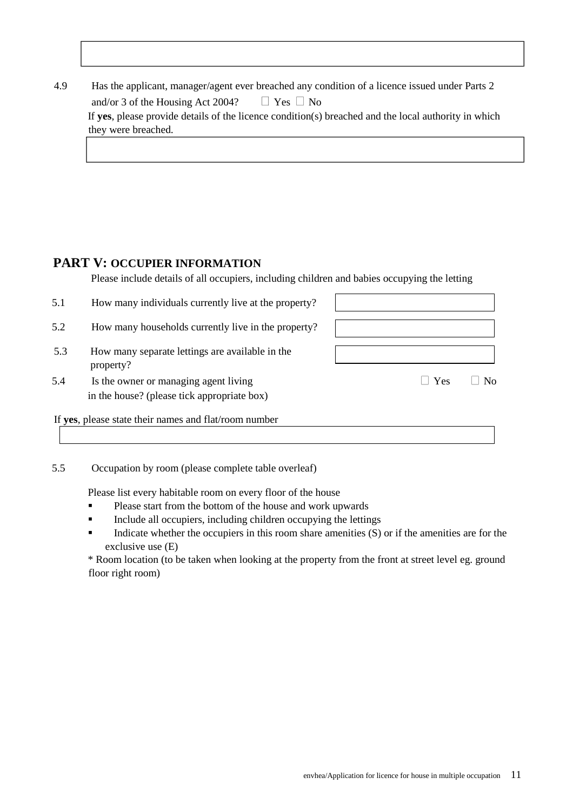| 4.9 | Has the applicant, manager/agent ever breached any condition of a licence issued under Parts 2       |
|-----|------------------------------------------------------------------------------------------------------|
|     | $\Box$ Yes $\Box$ No<br>and/or 3 of the Housing Act $2004$ ?                                         |
|     | If yes, please provide details of the licence condition(s) breached and the local authority in which |
|     | they were breached.                                                                                  |
|     |                                                                                                      |

#### **PART V: OCCUPIER INFORMATION**

Please include details of all occupiers, including children and babies occupying the letting

| 5.1 | How many individuals currently live at the property?                                 |                        |
|-----|--------------------------------------------------------------------------------------|------------------------|
| 5.2 | How many households currently live in the property?                                  |                        |
| 5.3 | How many separate lettings are available in the<br>property?                         |                        |
| 5.4 | Is the owner or managing agent living<br>in the house? (please tick appropriate box) | $\Box$ Yes<br>$\rm No$ |
|     | If yes, please state their names and flat/room number                                |                        |

5.5 Occupation by room (please complete table overleaf)

Please list every habitable room on every floor of the house

- Please start from the bottom of the house and work upwards
- Include all occupiers, including children occupying the lettings
- Indicate whether the occupiers in this room share amenities (S) or if the amenities are for the exclusive use (E)

\* Room location (to be taken when looking at the property from the front at street level eg. ground floor right room)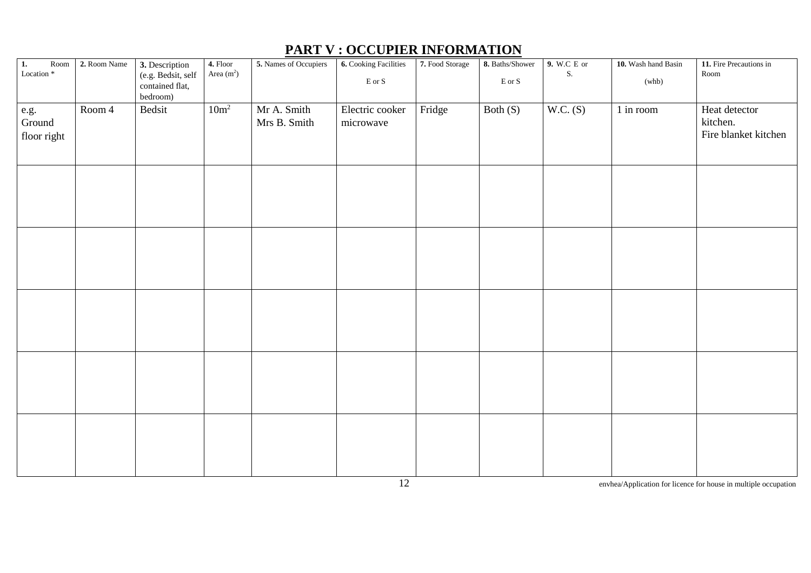| $\overline{1}$ .<br>$\operatorname{Room}$<br>Location <sup>*</sup> | 2. Room Name | 3. Description<br>(e.g. Bedsit, self<br>contained flat,<br>bedroom) | 4. Floor<br>Area $(m2)$ | 5. Names of Occupiers       | 6. Cooking Facilities<br>$\to$ or $S$ | 7. Food Storage | 8. Baths/Shower<br>$\mathop{\hbox{\rm E}}$ or $\mathop{\hbox{\rm S}}$ | 9. W.C E or<br>${\bf S}.$ | 10. Wash hand Basin<br>(whb) | 11. Fire Precautions in<br>$\operatorname{Room}$  |
|--------------------------------------------------------------------|--------------|---------------------------------------------------------------------|-------------------------|-----------------------------|---------------------------------------|-----------------|-----------------------------------------------------------------------|---------------------------|------------------------------|---------------------------------------------------|
| e.g.<br>Ground<br>floor right                                      | Room 4       | Bedsit                                                              | 10m <sup>2</sup>        | Mr A. Smith<br>Mrs B. Smith | Electric cooker<br>microwave          | Fridge          | Both $(S)$                                                            | W.C. (S)                  | 1 in room                    | Heat detector<br>kitchen.<br>Fire blanket kitchen |
|                                                                    |              |                                                                     |                         |                             |                                       |                 |                                                                       |                           |                              |                                                   |
|                                                                    |              |                                                                     |                         |                             |                                       |                 |                                                                       |                           |                              |                                                   |
|                                                                    |              |                                                                     |                         |                             |                                       |                 |                                                                       |                           |                              |                                                   |
|                                                                    |              |                                                                     |                         |                             |                                       |                 |                                                                       |                           |                              |                                                   |
|                                                                    |              |                                                                     |                         |                             |                                       |                 |                                                                       |                           |                              |                                                   |

# **PART V : OCCUPIER INFORMATION**

12 envhea/Application for licence for house in multiple occupation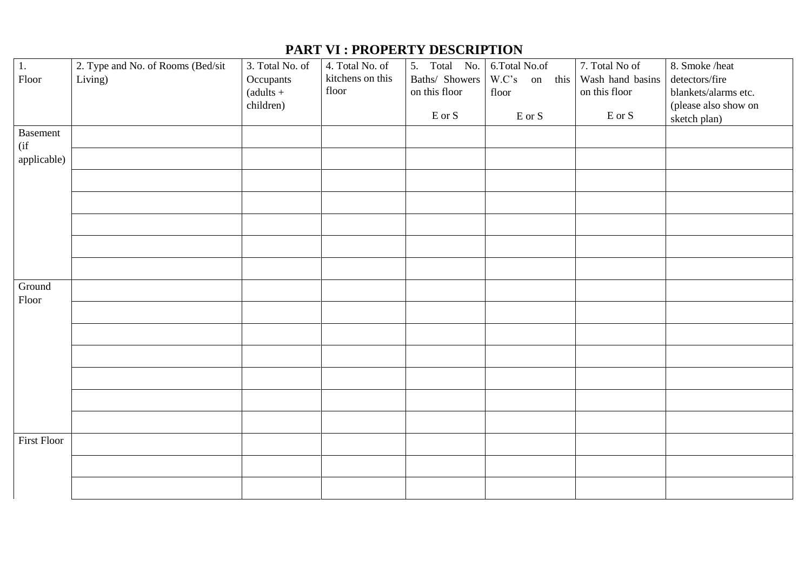## **PART VI : PROPERTY DESCRIPTION**

| 1.                        | 2. Type and No. of Rooms (Bed/sit | 3. Total No. of | 4. Total No. of  | 5. Total No.                                            | 6.Total No.of                                           | 7. Total No of                                     | 8. Smoke /heat       |
|---------------------------|-----------------------------------|-----------------|------------------|---------------------------------------------------------|---------------------------------------------------------|----------------------------------------------------|----------------------|
| Floor                     | Living)                           | Occupants       | kitchens on this | Baths/ Showers                                          | W.C's on this                                           | Wash hand basins                                   | detectors/fire       |
|                           |                                   | $(adults +$     | floor            | on this floor                                           | floor                                                   | on this floor                                      | blankets/alarms etc. |
|                           |                                   | children)       |                  |                                                         |                                                         |                                                    | (please also show on |
|                           |                                   |                 |                  | $\operatorname*{E}\operatorname*{or}\operatorname*{S}%$ | $\operatorname*{E}\operatorname*{or}\operatorname*{S}%$ | $\mathop{\hbox{\rm E}}$ or $\mathop{\hbox{\rm S}}$ | sketch plan)         |
| <b>Basement</b><br>$($ if |                                   |                 |                  |                                                         |                                                         |                                                    |                      |
| applicable)               |                                   |                 |                  |                                                         |                                                         |                                                    |                      |
|                           |                                   |                 |                  |                                                         |                                                         |                                                    |                      |
|                           |                                   |                 |                  |                                                         |                                                         |                                                    |                      |
|                           |                                   |                 |                  |                                                         |                                                         |                                                    |                      |
|                           |                                   |                 |                  |                                                         |                                                         |                                                    |                      |
|                           |                                   |                 |                  |                                                         |                                                         |                                                    |                      |
| Ground<br>Floor           |                                   |                 |                  |                                                         |                                                         |                                                    |                      |
|                           |                                   |                 |                  |                                                         |                                                         |                                                    |                      |
|                           |                                   |                 |                  |                                                         |                                                         |                                                    |                      |
|                           |                                   |                 |                  |                                                         |                                                         |                                                    |                      |
|                           |                                   |                 |                  |                                                         |                                                         |                                                    |                      |
|                           |                                   |                 |                  |                                                         |                                                         |                                                    |                      |
|                           |                                   |                 |                  |                                                         |                                                         |                                                    |                      |
| <b>First Floor</b>        |                                   |                 |                  |                                                         |                                                         |                                                    |                      |
|                           |                                   |                 |                  |                                                         |                                                         |                                                    |                      |
|                           |                                   |                 |                  |                                                         |                                                         |                                                    |                      |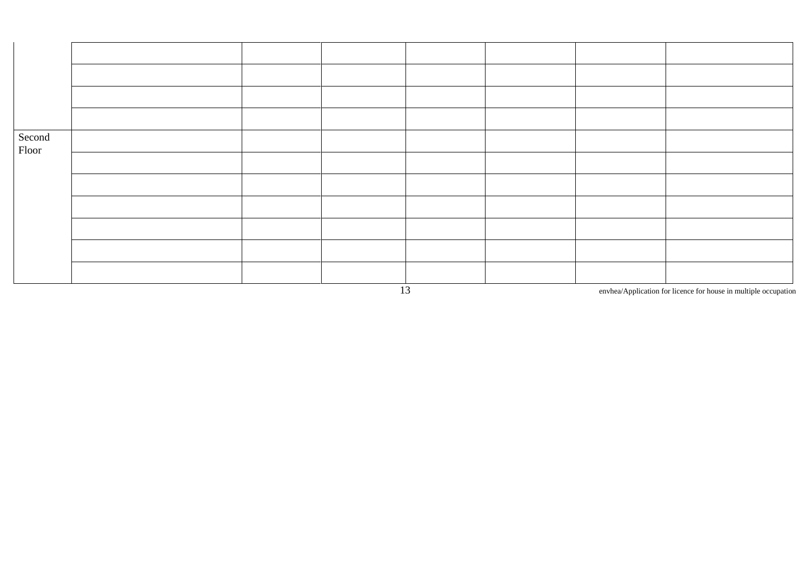| Second<br>Floor |  |  |  |  |
|-----------------|--|--|--|--|
|                 |  |  |  |  |
|                 |  |  |  |  |
|                 |  |  |  |  |
|                 |  |  |  |  |
|                 |  |  |  |  |
|                 |  |  |  |  |

13 envhea/Application for licence for house in multiple occupation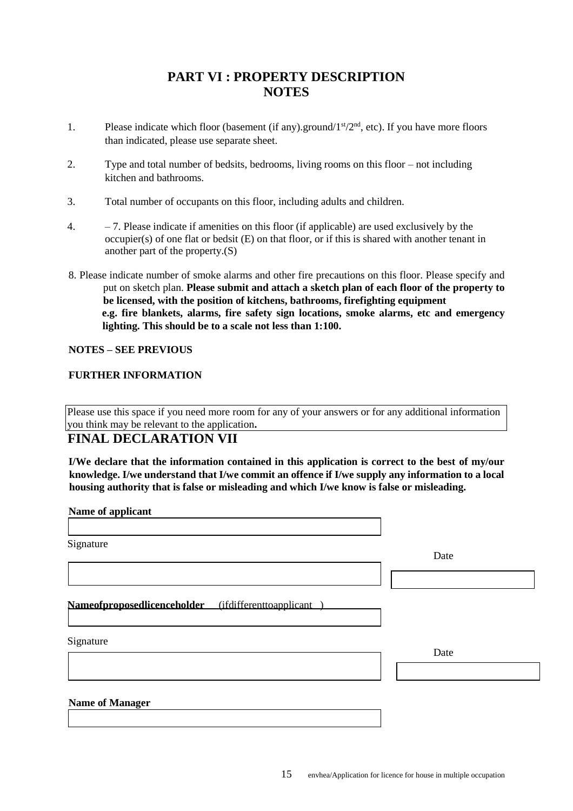#### **PART VI : PROPERTY DESCRIPTION NOTES**

- 1. Please indicate which floor (basement (if any).ground/ $1<sup>st</sup>/2<sup>nd</sup>$ , etc). If you have more floors than indicated, please use separate sheet.
- 2. Type and total number of bedsits, bedrooms, living rooms on this floor not including kitchen and bathrooms.
- 3. Total number of occupants on this floor, including adults and children.
- 4.  $-7$ . Please indicate if amenities on this floor (if applicable) are used exclusively by the occupier(s) of one flat or bedsit (E) on that floor, or if this is shared with another tenant in another part of the property.(S)
- 8. Please indicate number of smoke alarms and other fire precautions on this floor. Please specify and put on sketch plan. **Please submit and attach a sketch plan of each floor of the property to be licensed, with the position of kitchens, bathrooms, firefighting equipment e.g. fire blankets, alarms, fire safety sign locations, smoke alarms, etc and emergency lighting. This should be to a scale not less than 1:100.**

#### **NOTES – SEE PREVIOUS**

#### **FURTHER INFORMATION**

Please use this space if you need more room for any of your answers or for any additional information you think may be relevant to the application**.**

#### **FINAL DECLARATION VII**

**I/We declare that the information contained in this application is correct to the best of my/our knowledge. I/we understand that I/we commit an offence if I/we supply any information to a local housing authority that is false or misleading and which I/we know is false or misleading.**

**Name of applicant**

| Signature                                           |      |
|-----------------------------------------------------|------|
|                                                     | Date |
|                                                     |      |
| Nameofproposedlicenceholder (ifdifferenttoapplicant |      |
| Signature                                           | Date |
|                                                     |      |
| <b>Name of Manager</b>                              |      |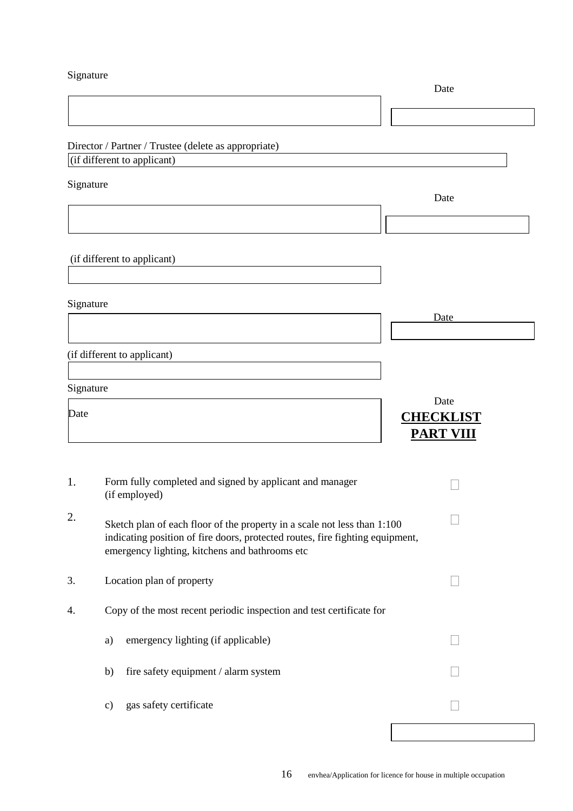Signature

|           |                                                                                                                                                                                                             | Date                                         |
|-----------|-------------------------------------------------------------------------------------------------------------------------------------------------------------------------------------------------------------|----------------------------------------------|
|           |                                                                                                                                                                                                             |                                              |
|           | Director / Partner / Trustee (delete as appropriate)<br>(if different to applicant)                                                                                                                         |                                              |
|           |                                                                                                                                                                                                             |                                              |
| Signature |                                                                                                                                                                                                             | Date                                         |
|           |                                                                                                                                                                                                             |                                              |
|           | (if different to applicant)                                                                                                                                                                                 |                                              |
| Signature |                                                                                                                                                                                                             | Date                                         |
|           |                                                                                                                                                                                                             |                                              |
|           | (if different to applicant)                                                                                                                                                                                 |                                              |
| Signature |                                                                                                                                                                                                             |                                              |
| Date      |                                                                                                                                                                                                             | Date<br><b>CHECKLIST</b><br><b>PART VIII</b> |
| 1.        | Form fully completed and signed by applicant and manager<br>(if employed)                                                                                                                                   |                                              |
| 2.        | Sketch plan of each floor of the property in a scale not less than 1:100<br>indicating position of fire doors, protected routes, fire fighting equipment,<br>emergency lighting, kitchens and bathrooms etc |                                              |
| 3.        | Location plan of property                                                                                                                                                                                   |                                              |
| 4.        | Copy of the most recent periodic inspection and test certificate for                                                                                                                                        |                                              |
|           | emergency lighting (if applicable)<br>a)                                                                                                                                                                    |                                              |
|           | fire safety equipment / alarm system<br>b)                                                                                                                                                                  |                                              |
|           | gas safety certificate<br>$\mathbf{c})$                                                                                                                                                                     |                                              |
|           |                                                                                                                                                                                                             |                                              |